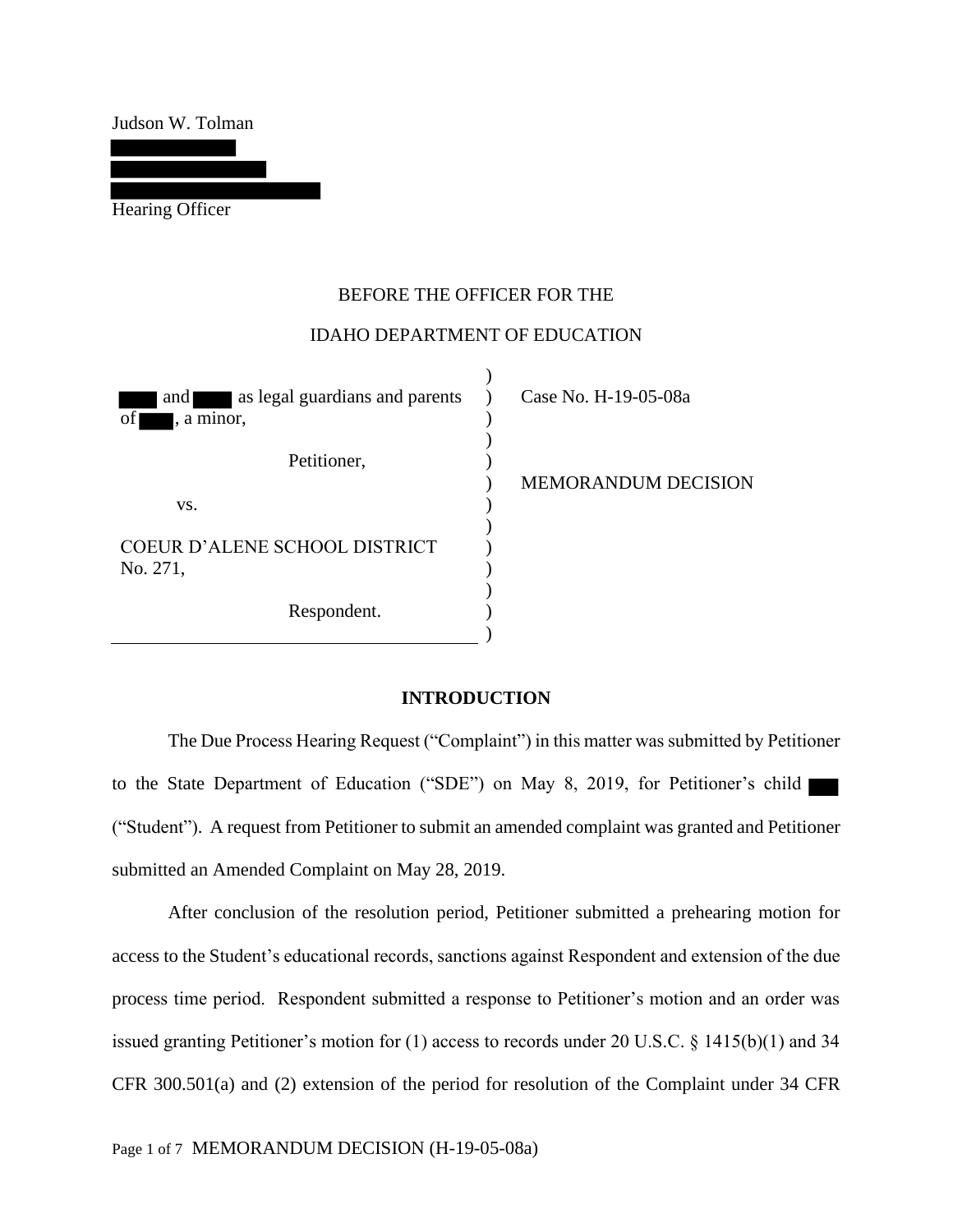Judson W. Tolman

Hearing Officer

## BEFORE THE OFFICER FOR THE

## IDAHO DEPARTMENT OF EDUCATION

 $\lambda$ 

| as legal guardians and parents<br>and<br>of<br>, a minor, | Case No. H-19-05-08a       |
|-----------------------------------------------------------|----------------------------|
| Petitioner,                                               | <b>MEMORANDUM DECISION</b> |
| VS.                                                       |                            |
| COEUR D'ALENE SCHOOL DISTRICT                             |                            |
| No. 271,                                                  |                            |
| Respondent.                                               |                            |
|                                                           |                            |

### **INTRODUCTION**

 The Due Process Hearing Request ("Complaint") in this matter was submitted by Petitioner to the State Department of Education ("SDE") on May 8, 2019, for Petitioner's child ("Student"). A request from Petitioner to submit an amended complaint was granted and Petitioner submitted an Amended Complaint on May 28, 2019.

 After conclusion of the resolution period, Petitioner submitted a prehearing motion for access to the Student's educational records, sanctions against Respondent and extension of the due process time period. Respondent submitted a response to Petitioner's motion and an order was issued granting Petitioner's motion for (1) access to records under 20 U.S.C. § 1415(b)(1) and 34 CFR 300.501(a) and (2) extension of the period for resolution of the Complaint under 34 CFR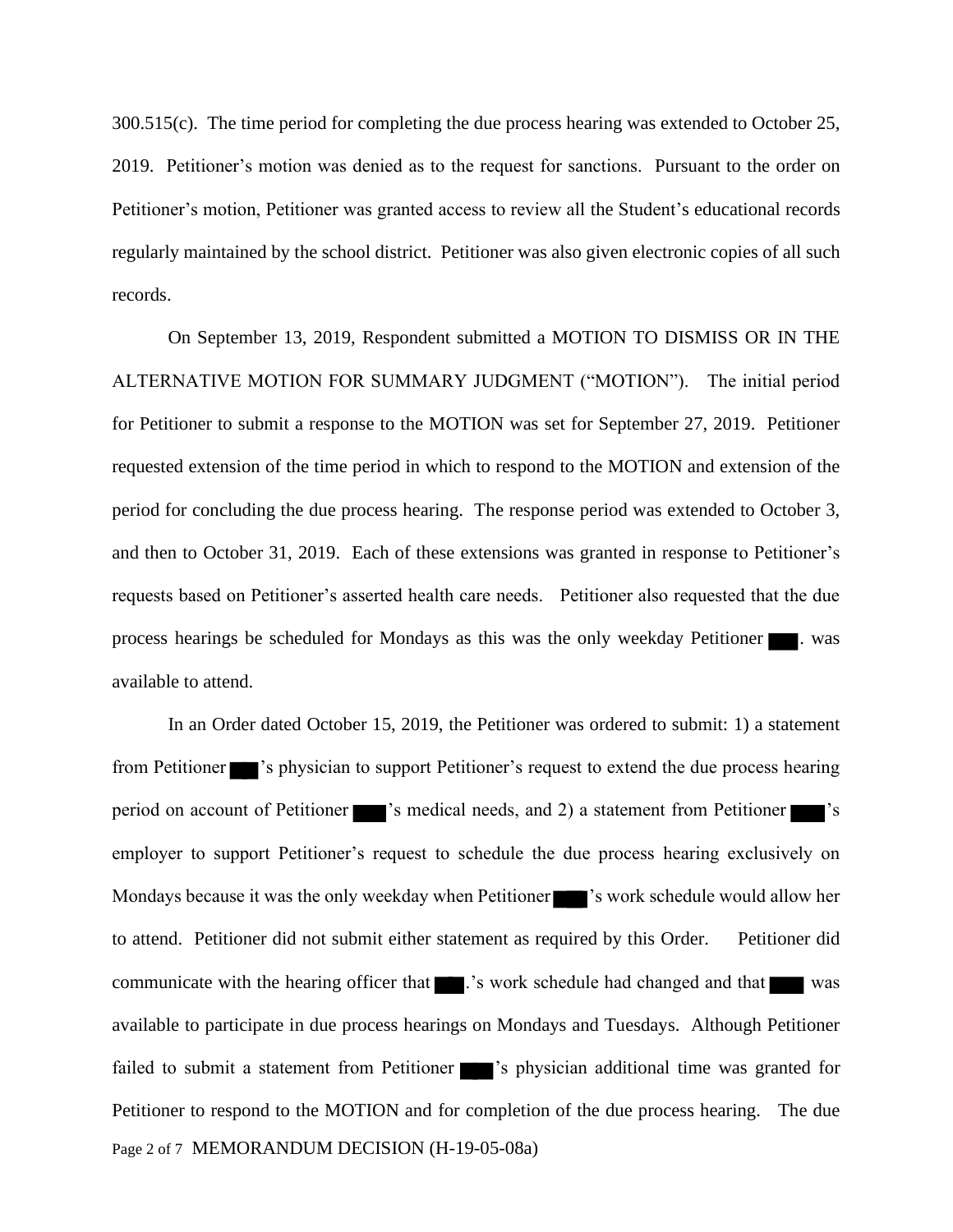300.515(c). The time period for completing the due process hearing was extended to October 25, 2019. Petitioner's motion was denied as to the request for sanctions. Pursuant to the order on Petitioner's motion, Petitioner was granted access to review all the Student's educational records regularly maintained by the school district. Petitioner was also given electronic copies of all such records.

On September 13, 2019, Respondent submitted a MOTION TO DISMISS OR IN THE ALTERNATIVE MOTION FOR SUMMARY JUDGMENT ("MOTION"). The initial period for Petitioner to submit a response to the MOTION was set for September 27, 2019. Petitioner requested extension of the time period in which to respond to the MOTION and extension of the period for concluding the due process hearing. The response period was extended to October 3, and then to October 31, 2019. Each of these extensions was granted in response to Petitioner's requests based on Petitioner's asserted health care needs. Petitioner also requested that the due process hearings be scheduled for Mondays as this was the only weekday Petitioner . was available to attend.

Page 2 of 7 MEMORANDUM DECISION (H-19-05-08a) In an Order dated October 15, 2019, the Petitioner was ordered to submit: 1) a statement from Petitioner 's physician to support Petitioner's request to extend the due process hearing period on account of Petitioner  $\blacksquare$  's medical needs, and 2) a statement from Petitioner  $\blacksquare$  's employer to support Petitioner's request to schedule the due process hearing exclusively on Mondays because it was the only weekday when Petitioner 's work schedule would allow her to attend. Petitioner did not submit either statement as required by this Order. Petitioner did communicate with the hearing officer that **...**'s work schedule had changed and that was available to participate in due process hearings on Mondays and Tuesdays. Although Petitioner failed to submit a statement from Petitioner  $\blacksquare$  's physician additional time was granted for Petitioner to respond to the MOTION and for completion of the due process hearing. The due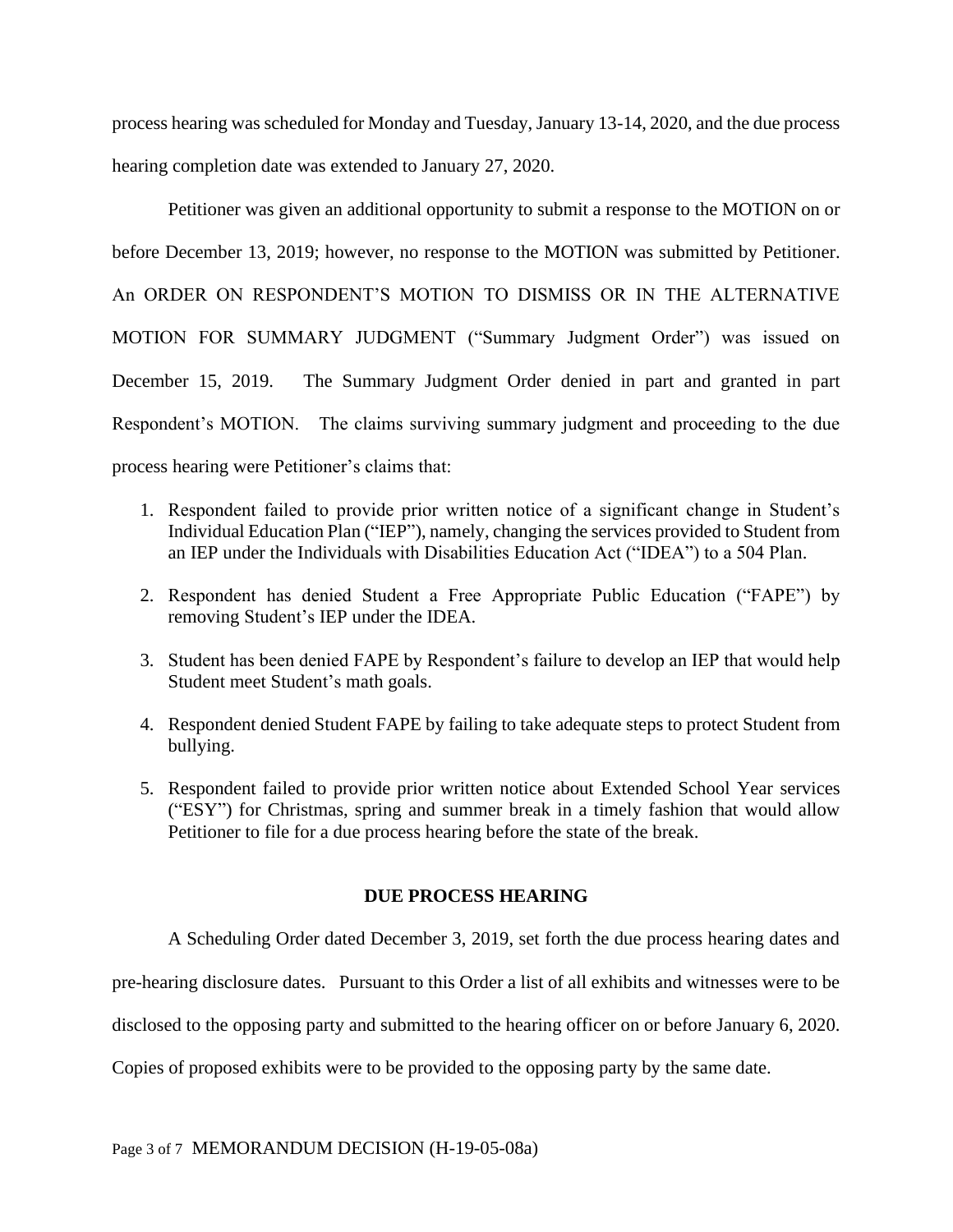process hearing was scheduled for Monday and Tuesday, January 13-14, 2020, and the due process hearing completion date was extended to January 27, 2020.

Petitioner was given an additional opportunity to submit a response to the MOTION on or before December 13, 2019; however, no response to the MOTION was submitted by Petitioner. An ORDER ON RESPONDENT'S MOTION TO DISMISS OR IN THE ALTERNATIVE MOTION FOR SUMMARY JUDGMENT ("Summary Judgment Order") was issued on December 15, 2019. The Summary Judgment Order denied in part and granted in part Respondent's MOTION. The claims surviving summary judgment and proceeding to the due process hearing were Petitioner's claims that:

- 1. Respondent failed to provide prior written notice of a significant change in Student's Individual Education Plan ("IEP"), namely, changing the services provided to Student from an IEP under the Individuals with Disabilities Education Act ("IDEA") to a 504 Plan.
- 2. Respondent has denied Student a Free Appropriate Public Education ("FAPE") by removing Student's IEP under the IDEA.
- 3. Student has been denied FAPE by Respondent's failure to develop an IEP that would help Student meet Student's math goals.
- 4. Respondent denied Student FAPE by failing to take adequate steps to protect Student from bullying.
- 5. Respondent failed to provide prior written notice about Extended School Year services ("ESY") for Christmas, spring and summer break in a timely fashion that would allow Petitioner to file for a due process hearing before the state of the break.

## **DUE PROCESS HEARING**

A Scheduling Order dated December 3, 2019, set forth the due process hearing dates and

pre-hearing disclosure dates. Pursuant to this Order a list of all exhibits and witnesses were to be

disclosed to the opposing party and submitted to the hearing officer on or before January 6, 2020.

Copies of proposed exhibits were to be provided to the opposing party by the same date.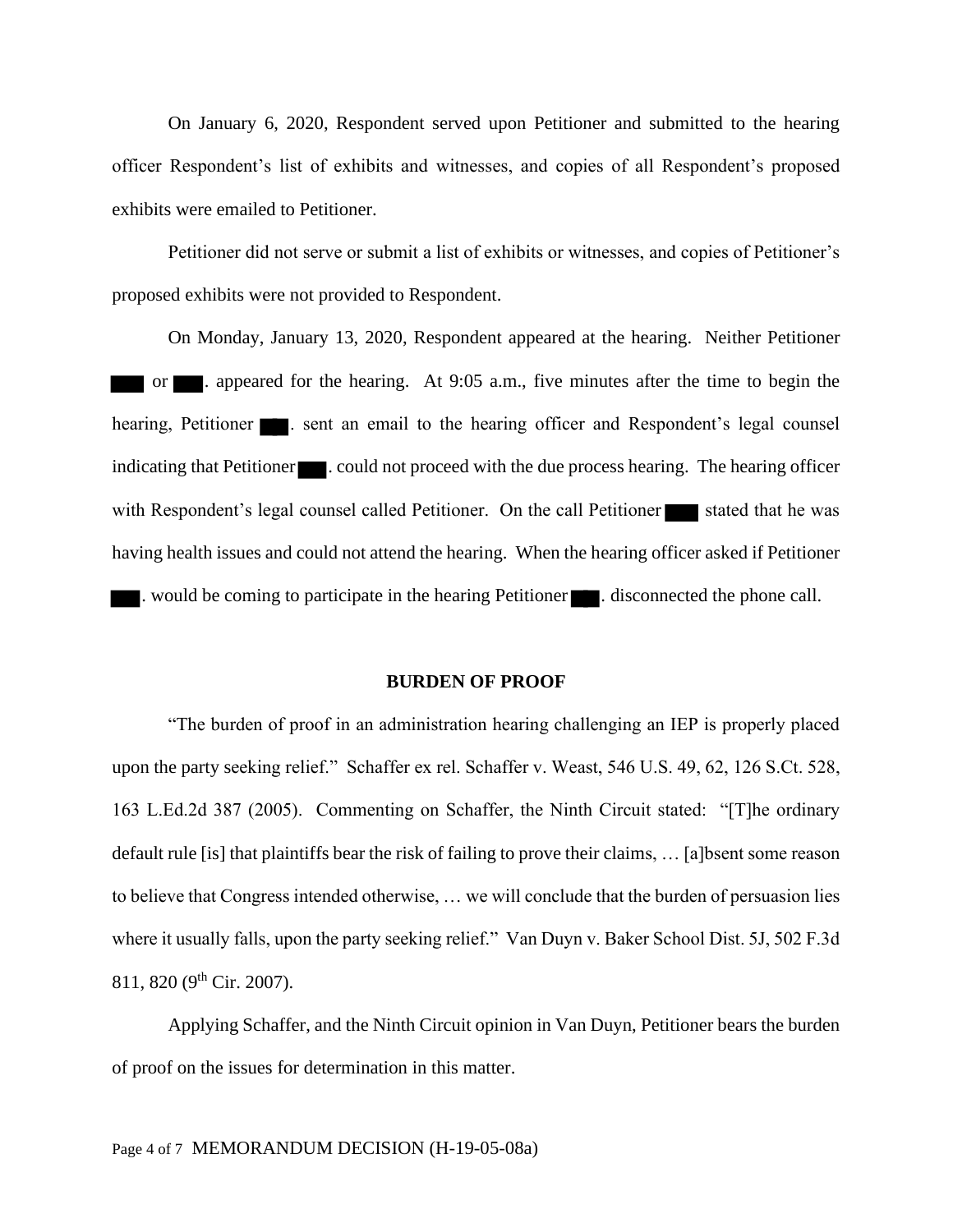On January 6, 2020, Respondent served upon Petitioner and submitted to the hearing officer Respondent's list of exhibits and witnesses, and copies of all Respondent's proposed exhibits were emailed to Petitioner.

Petitioner did not serve or submit a list of exhibits or witnesses, and copies of Petitioner's proposed exhibits were not provided to Respondent.

On Monday, January 13, 2020, Respondent appeared at the hearing. Neither Petitioner or . appeared for the hearing. At 9:05 a.m., five minutes after the time to begin the hearing, Petitioner . sent an email to the hearing officer and Respondent's legal counsel indicating that Petitioner  $\blacksquare$ . could not proceed with the due process hearing. The hearing officer with Respondent's legal counsel called Petitioner. On the call Petitioner stated that he was having health issues and could not attend the hearing. When the hearing officer asked if Petitioner . would be coming to participate in the hearing Petitioner . disconnected the phone call.

#### **BURDEN OF PROOF**

"The burden of proof in an administration hearing challenging an IEP is properly placed upon the party seeking relief." Schaffer ex rel. Schaffer v. Weast, 546 U.S. 49, 62, 126 S.Ct. 528, 163 L.Ed.2d 387 (2005). Commenting on Schaffer, the Ninth Circuit stated: "[T]he ordinary default rule [is] that plaintiffs bear the risk of failing to prove their claims, … [a]bsent some reason to believe that Congress intended otherwise, … we will conclude that the burden of persuasion lies where it usually falls, upon the party seeking relief." Van Duyn v. Baker School Dist. 5J, 502 F.3d 811, 820 (9<sup>th</sup> Cir. 2007).

Applying Schaffer, and the Ninth Circuit opinion in Van Duyn, Petitioner bears the burden of proof on the issues for determination in this matter.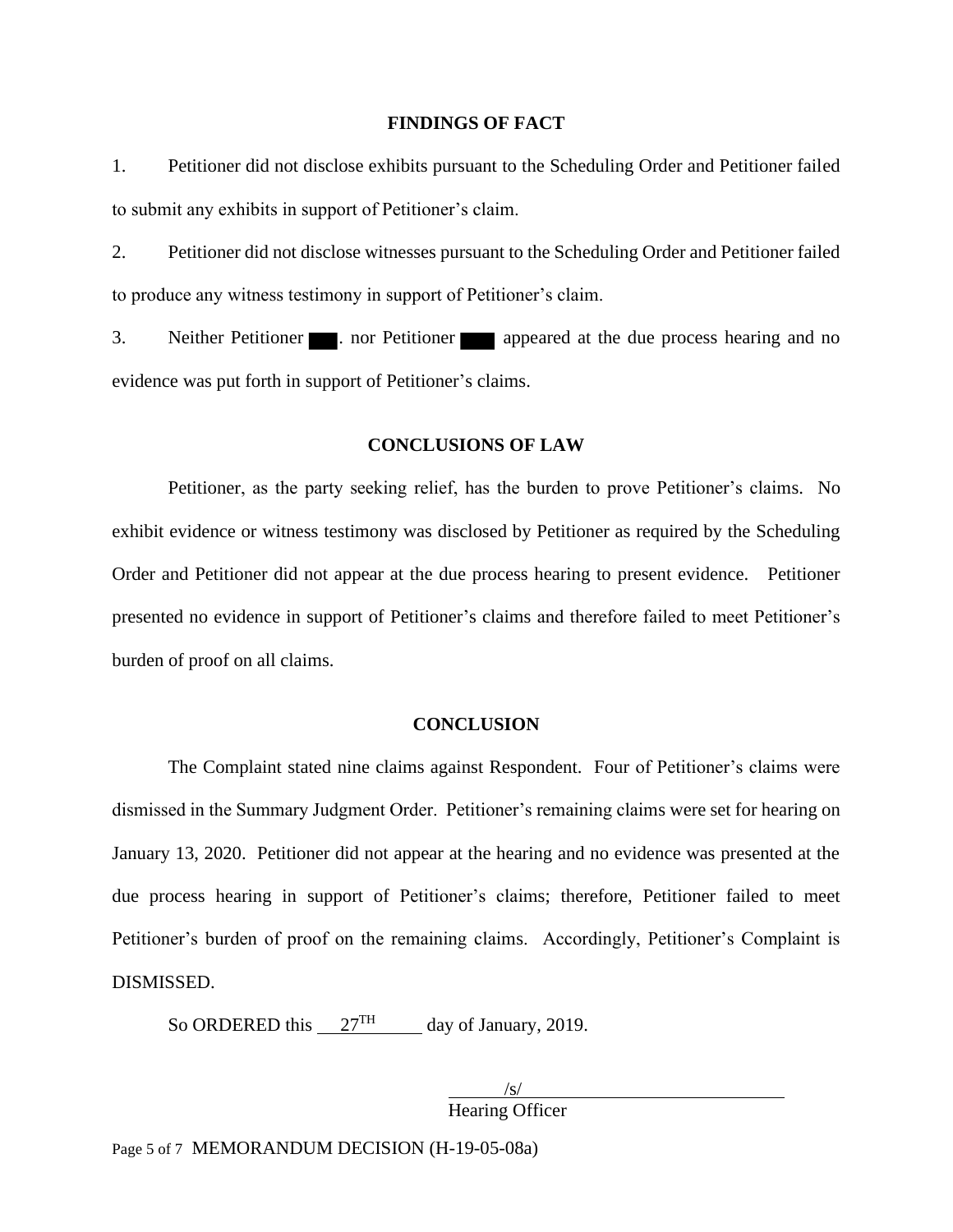#### **FINDINGS OF FACT**

1. Petitioner did not disclose exhibits pursuant to the Scheduling Order and Petitioner failed to submit any exhibits in support of Petitioner's claim.

2. Petitioner did not disclose witnesses pursuant to the Scheduling Order and Petitioner failed to produce any witness testimony in support of Petitioner's claim.

3. Neither Petitioner **a** nor Petitioner **appeared** at the due process hearing and no evidence was put forth in support of Petitioner's claims.

## **CONCLUSIONS OF LAW**

Petitioner, as the party seeking relief, has the burden to prove Petitioner's claims. No exhibit evidence or witness testimony was disclosed by Petitioner as required by the Scheduling Order and Petitioner did not appear at the due process hearing to present evidence. Petitioner presented no evidence in support of Petitioner's claims and therefore failed to meet Petitioner's burden of proof on all claims.

#### **CONCLUSION**

The Complaint stated nine claims against Respondent. Four of Petitioner's claims were dismissed in the Summary Judgment Order. Petitioner's remaining claims were set for hearing on January 13, 2020. Petitioner did not appear at the hearing and no evidence was presented at the due process hearing in support of Petitioner's claims; therefore, Petitioner failed to meet Petitioner's burden of proof on the remaining claims. Accordingly, Petitioner's Complaint is DISMISSED.

So ORDERED this  $27<sup>TH</sup>$  day of January, 2019.

 $\sqrt{s/}$ Hearing Officer

Page 5 of 7 MEMORANDUM DECISION (H-19-05-08a)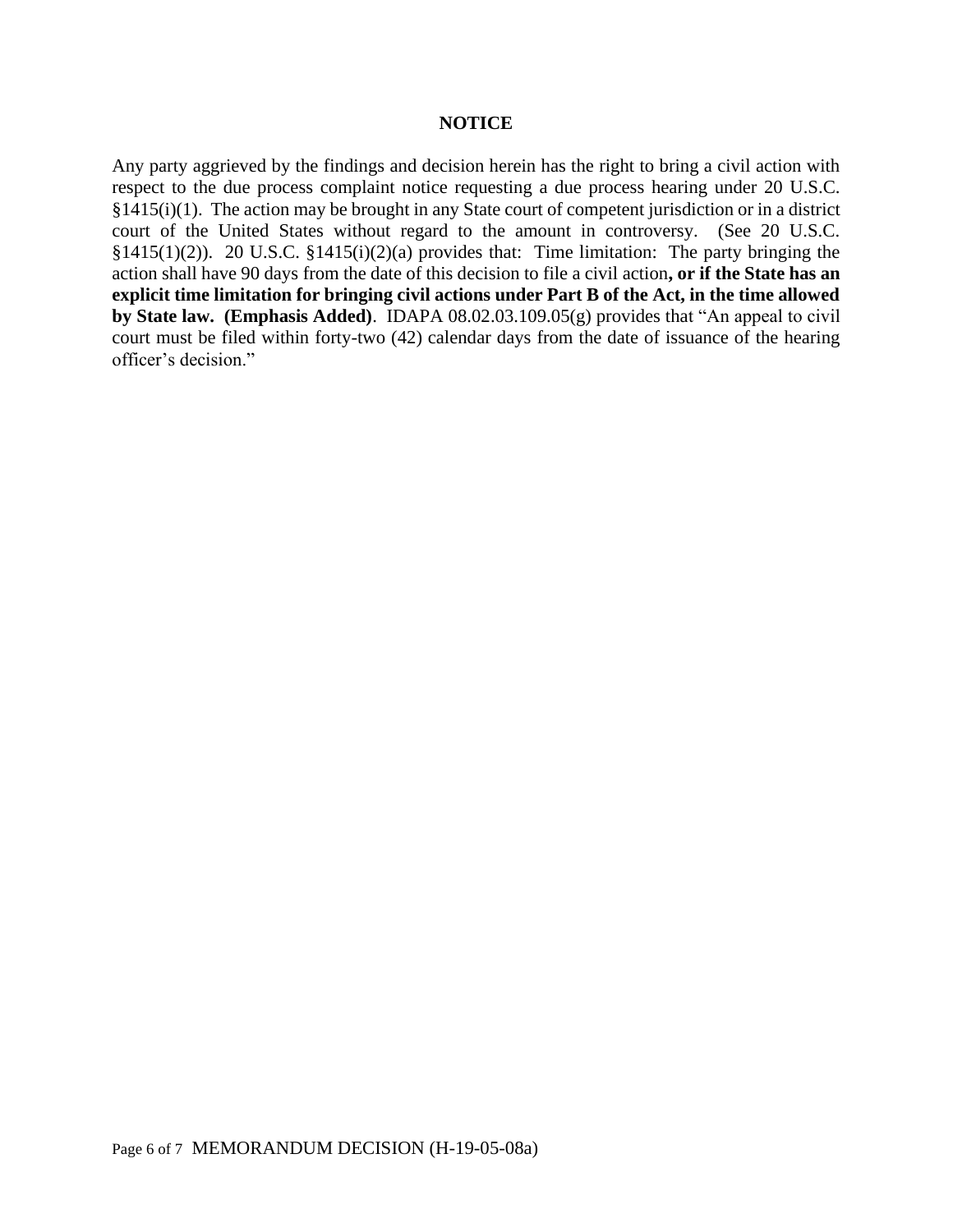#### **NOTICE**

Any party aggrieved by the findings and decision herein has the right to bring a civil action with respect to the due process complaint notice requesting a due process hearing under 20 U.S.C. §1415(i)(1). The action may be brought in any State court of competent jurisdiction or in a district court of the United States without regard to the amount in controversy. (See 20 U.S.C. §1415(1)(2)). 20 U.S.C. §1415(i)(2)(a) provides that: Time limitation: The party bringing the action shall have 90 days from the date of this decision to file a civil action**, or if the State has an explicit time limitation for bringing civil actions under Part B of the Act, in the time allowed by State law. (Emphasis Added)**. IDAPA 08.02.03.109.05(g) provides that "An appeal to civil court must be filed within forty-two (42) calendar days from the date of issuance of the hearing officer's decision."